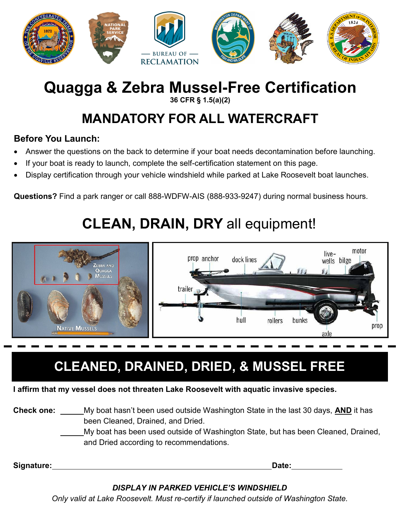

# **Quagga & Zebra Mussel-Free Certification**

#### **36 CFR § 1.5(a)(2)**

## **MANDATORY FOR ALL WATERCRAFT**

### **Before You Launch:**

- Answer the questions on the back to determine if your boat needs decontamination before launching.
- If your boat is ready to launch, complete the self-certification statement on this page.
- Display certification through your vehicle windshield while parked at Lake Roosevelt boat launches.

**Questions?** Find a park ranger or call 888-WDFW-AIS (888-933-9247) during normal business hours.

# **CLEAN, DRAIN, DRY** all equipment!



## **CLEANED, DRAINED, DRIED, & MUSSEL FREE**

**I affirm that my vessel does not threaten Lake Roosevelt with aquatic invasive species.**

#### **Check one:** My boat hasn't been used outside Washington State in the last 30 days, **AND** it has been Cleaned, Drained, and Dried.

My boat has been used outside of Washington State, but has been Cleaned, Drained, and Dried according to recommendations.

**Signature: Date:**

### *DISPLAY IN PARKED VEHICLE'S WINDSHIELD*

*Only valid at Lake Roosevelt. Must re-certify if launched outside of Washington State.*